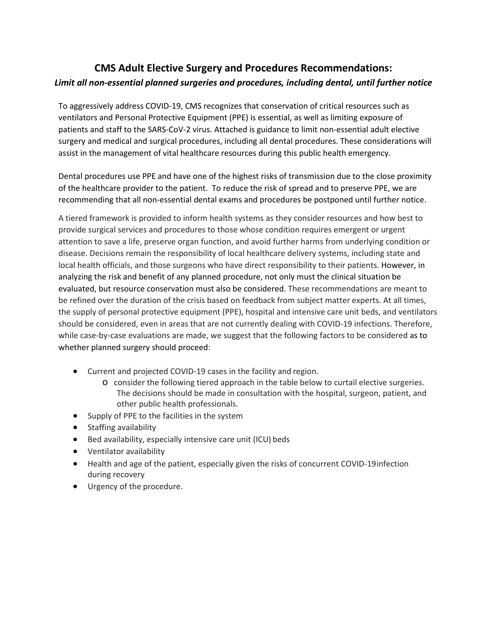## **CMS Adult Elective Surgery and Procedures Recommendations:** *Limit all non-essential planned surgeries and procedures, including dental, until further notice*

To aggressively address COVID-19, CMS recognizes that conservation of critical resources such as ventilators and Personal Protective Equipment (PPE) is essential, as well as limiting exposure of patients and staff to the SARS-CoV-2 virus. Attached is guidance to limit non-essential adult elective surgery and medical and surgical procedures, including all dental procedures. These considerations will assist in the management of vital healthcare resources during this public health emergency.

Dental procedures use PPE and have one of the highest risks of transmission due to the close proximity of the healthcare provider to the patient. To reduce the risk of spread and to preserve PPE, we are recommending that all non-essential dental exams and procedures be postponed until further notice.

A tiered framework is provided to inform health systems as they consider resources and how best to provide surgical services and procedures to those whose condition requires emergent or urgent attention to save a life, preserve organ function, and avoid further harms from underlying condition or disease. Decisions remain the responsibility of local healthcare delivery systems, including state and local health officials, and those surgeons who have direct responsibility to their patients. However, in analyzing the risk and benefit of any planned procedure, not only must the clinical situation be evaluated, but resource conservation must also be considered. These recommendations are meant to be refined over the duration of the crisis based on feedback from subject matter experts. At all times, the supply of personal protective equipment (PPE), hospital and intensive care unit beds, and ventilators should be considered, even in areas that are not currently dealing with COVID-19 infections. Therefore, while case-by-case evaluations are made, we suggest that the following factors to be considered as to whether planned surgery should proceed:

- Current and projected COVID-19 cases in the facility and region.
	- o consider the following tiered approach in the table below to curtail elective surgeries. The decisions should be made in consultation with the hospital, surgeon, patient, and other public health professionals.
- Supply of PPE to the facilities in the system
- Staffing availability
- Bed availability, especially intensive care unit (ICU) beds
- Ventilator availability
- Health and age of the patient, especially given the risks of concurrent COVID-19infection during recovery
- Urgency of the procedure.